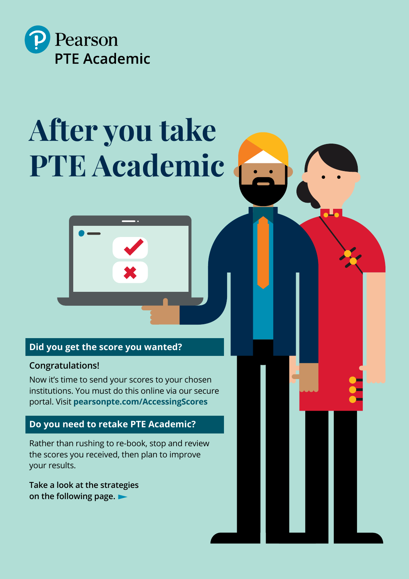

# **After you take PTE Academic**



## **Did you get the score you wanted?**

## **Congratulations!**

Now it's time to send your scores to your chosen institutions. You must do this online via our secure portal. Visit **[pearsonpte.com/AccessingScores](http://pearsonpte.com/AccessingScores)** 

## **Do you need to retake PTE Academic?**

Rather than rushing to re-book, stop and review the scores you received, then plan to improve your results.

**Take a look at the strategies on the following page.**